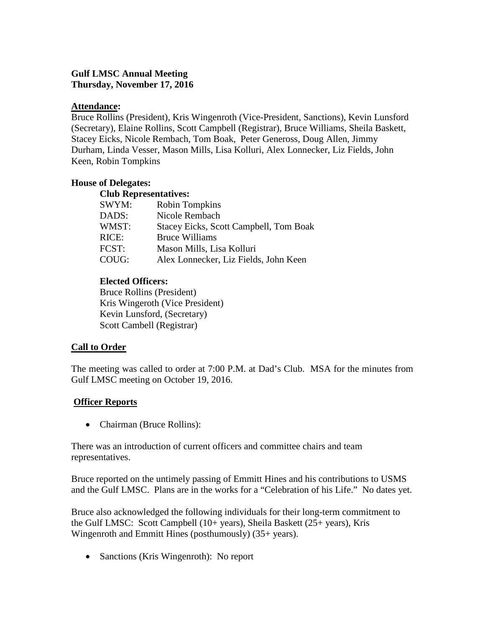# **Gulf LMSC Annual Meeting Thursday, November 17, 2016**

# **Attendance:**

Bruce Rollins (President), Kris Wingenroth (Vice-President, Sanctions), Kevin Lunsford (Secretary), Elaine Rollins, Scott Campbell (Registrar), Bruce Williams, Sheila Baskett, Stacey Eicks, Nicole Rembach, Tom Boak, Peter Geneross, Doug Allen, Jimmy Durham, Linda Vesser, Mason Mills, Lisa Kolluri, Alex Lonnecker, Liz Fields, John Keen, Robin Tompkins

# **House of Delegates:**

| <b>Club Representatives:</b> |                                        |  |  |
|------------------------------|----------------------------------------|--|--|
| SWYM:                        | <b>Robin Tompkins</b>                  |  |  |
| DADS:                        | Nicole Rembach                         |  |  |
| WMST:                        | Stacey Eicks, Scott Campbell, Tom Boak |  |  |
| RICE:                        | <b>Bruce Williams</b>                  |  |  |
| FCST:                        | Mason Mills, Lisa Kolluri              |  |  |
| COUG:                        | Alex Lonnecker, Liz Fields, John Keen  |  |  |
|                              |                                        |  |  |

# **Elected Officers:**

Bruce Rollins (President) Kris Wingeroth (Vice President) Kevin Lunsford, (Secretary) Scott Cambell (Registrar)

# **Call to Order**

The meeting was called to order at 7:00 P.M. at Dad's Club. MSA for the minutes from Gulf LMSC meeting on October 19, 2016.

# **Officer Reports**

• Chairman (Bruce Rollins):

There was an introduction of current officers and committee chairs and team representatives.

Bruce reported on the untimely passing of Emmitt Hines and his contributions to USMS and the Gulf LMSC. Plans are in the works for a "Celebration of his Life." No dates yet.

Bruce also acknowledged the following individuals for their long-term commitment to the Gulf LMSC: Scott Campbell (10+ years), Sheila Baskett (25+ years), Kris Wingenroth and Emmitt Hines (posthumously) (35+ years).

• Sanctions (Kris Wingenroth): No report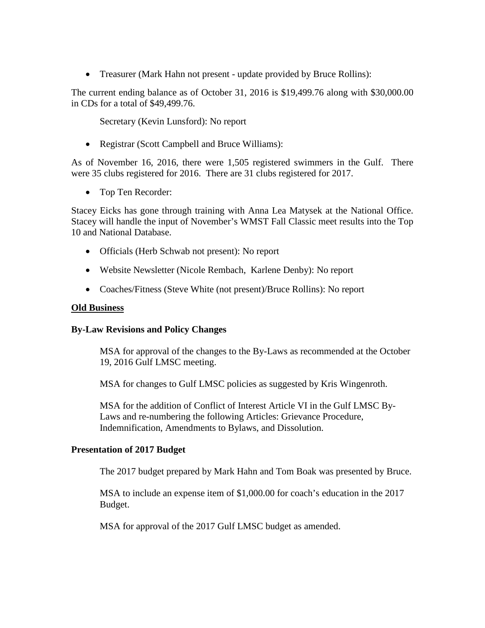• Treasurer (Mark Hahn not present - update provided by Bruce Rollins):

The current ending balance as of October 31, 2016 is \$19,499.76 along with \$30,000.00 in CDs for a total of \$49,499.76.

Secretary (Kevin Lunsford): No report

• Registrar (Scott Campbell and Bruce Williams):

As of November 16, 2016, there were 1,505 registered swimmers in the Gulf. There were 35 clubs registered for 2016. There are 31 clubs registered for 2017.

• Top Ten Recorder:

Stacey Eicks has gone through training with Anna Lea Matysek at the National Office. Stacey will handle the input of November's WMST Fall Classic meet results into the Top 10 and National Database.

- Officials (Herb Schwab not present): No report
- Website Newsletter (Nicole Rembach, Karlene Denby): No report
- Coaches/Fitness (Steve White (not present)/Bruce Rollins): No report

#### **Old Business**

### **By-Law Revisions and Policy Changes**

MSA for approval of the changes to the By-Laws as recommended at the October 19, 2016 Gulf LMSC meeting.

MSA for changes to Gulf LMSC policies as suggested by Kris Wingenroth.

MSA for the addition of Conflict of Interest Article VI in the Gulf LMSC By-Laws and re-numbering the following Articles: Grievance Procedure, Indemnification, Amendments to Bylaws, and Dissolution.

#### **Presentation of 2017 Budget**

The 2017 budget prepared by Mark Hahn and Tom Boak was presented by Bruce.

MSA to include an expense item of \$1,000.00 for coach's education in the 2017 Budget.

MSA for approval of the 2017 Gulf LMSC budget as amended.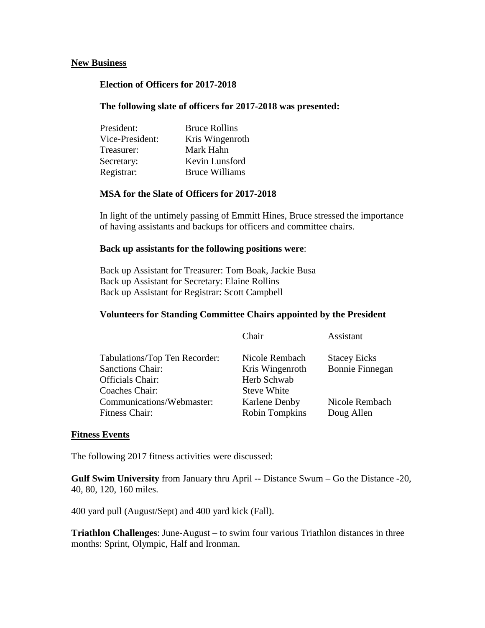#### **New Business**

### **Election of Officers for 2017-2018**

#### **The following slate of officers for 2017-2018 was presented:**

| President:      | <b>Bruce Rollins</b>  |
|-----------------|-----------------------|
| Vice-President: | Kris Wingenroth       |
| Treasurer:      | Mark Hahn             |
| Secretary:      | Kevin Lunsford        |
| Registrar:      | <b>Bruce Williams</b> |

### **MSA for the Slate of Officers for 2017-2018**

In light of the untimely passing of Emmitt Hines, Bruce stressed the importance of having assistants and backups for officers and committee chairs.

#### **Back up assistants for the following positions were**:

Back up Assistant for Treasurer: Tom Boak, Jackie Busa Back up Assistant for Secretary: Elaine Rollins Back up Assistant for Registrar: Scott Campbell

#### **Volunteers for Standing Committee Chairs appointed by the President**

|                               | Chair                 | Assistant              |
|-------------------------------|-----------------------|------------------------|
| Tabulations/Top Ten Recorder: | Nicole Rembach        | <b>Stacey Eicks</b>    |
| <b>Sanctions Chair:</b>       | Kris Wingenroth       | <b>Bonnie Finnegan</b> |
| Officials Chair:              | Herb Schwab           |                        |
| Coaches Chair:                | <b>Steve White</b>    |                        |
| Communications/Webmaster:     | Karlene Denby         | Nicole Rembach         |
| Fitness Chair:                | <b>Robin Tompkins</b> | Doug Allen             |
|                               |                       |                        |

#### **Fitness Events**

The following 2017 fitness activities were discussed:

**Gulf Swim University** from January thru April -- Distance Swum – Go the Distance -20, 40, 80, 120, 160 miles.

400 yard pull (August/Sept) and 400 yard kick (Fall).

**Triathlon Challenges**: June-August – to swim four various Triathlon distances in three months: Sprint, Olympic, Half and Ironman.